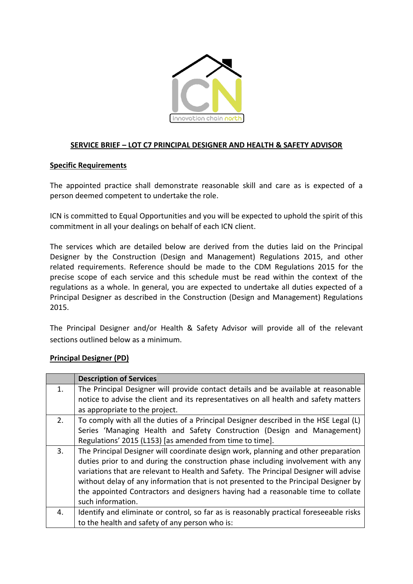

## **SERVICE BRIEF – LOT C7 PRINCIPAL DESIGNER AND HEALTH & SAFETY ADVISOR**

## **Specific Requirements**

The appointed practice shall demonstrate reasonable skill and care as is expected of a person deemed competent to undertake the role.

ICN is committed to Equal Opportunities and you will be expected to uphold the spirit of this commitment in all your dealings on behalf of each ICN client.

The services which are detailed below are derived from the duties laid on the Principal Designer by the Construction (Design and Management) Regulations 2015, and other related requirements. Reference should be made to the CDM Regulations 2015 for the precise scope of each service and this schedule must be read within the context of the regulations as a whole. In general, you are expected to undertake all duties expected of a Principal Designer as described in the Construction (Design and Management) Regulations 2015.

The Principal Designer and/or Health & Safety Advisor will provide all of the relevant sections outlined below as a minimum.

## **Principal Designer (PD)**

|    | <b>Description of Services</b>                                                         |
|----|----------------------------------------------------------------------------------------|
| 1. | The Principal Designer will provide contact details and be available at reasonable     |
|    | notice to advise the client and its representatives on all health and safety matters   |
|    | as appropriate to the project.                                                         |
| 2. | To comply with all the duties of a Principal Designer described in the HSE Legal (L)   |
|    | Series 'Managing Health and Safety Construction (Design and Management)                |
|    | Regulations' 2015 (L153) [as amended from time to time].                               |
| 3. | The Principal Designer will coordinate design work, planning and other preparation     |
|    | duties prior to and during the construction phase including involvement with any       |
|    | variations that are relevant to Health and Safety. The Principal Designer will advise  |
|    | without delay of any information that is not presented to the Principal Designer by    |
|    | the appointed Contractors and designers having had a reasonable time to collate        |
|    | such information.                                                                      |
| 4. | Identify and eliminate or control, so far as is reasonably practical foreseeable risks |
|    | to the health and safety of any person who is:                                         |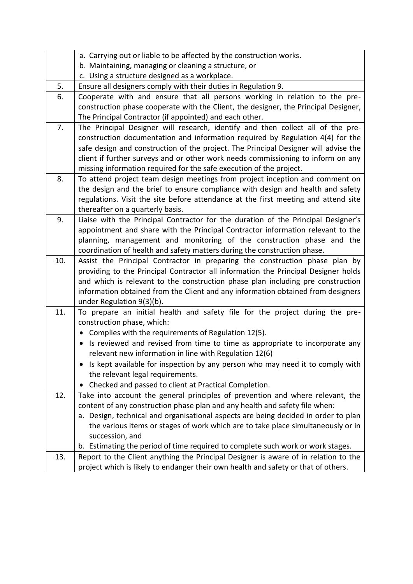|     | a. Carrying out or liable to be affected by the construction works.                                                                                                                                                                                                                                                                                                                                                                                                                                                                          |
|-----|----------------------------------------------------------------------------------------------------------------------------------------------------------------------------------------------------------------------------------------------------------------------------------------------------------------------------------------------------------------------------------------------------------------------------------------------------------------------------------------------------------------------------------------------|
|     | b. Maintaining, managing or cleaning a structure, or                                                                                                                                                                                                                                                                                                                                                                                                                                                                                         |
|     | c. Using a structure designed as a workplace.                                                                                                                                                                                                                                                                                                                                                                                                                                                                                                |
| 5.  | Ensure all designers comply with their duties in Regulation 9.                                                                                                                                                                                                                                                                                                                                                                                                                                                                               |
| 6.  | Cooperate with and ensure that all persons working in relation to the pre-<br>construction phase cooperate with the Client, the designer, the Principal Designer,<br>The Principal Contractor (if appointed) and each other.                                                                                                                                                                                                                                                                                                                 |
| 7.  | The Principal Designer will research, identify and then collect all of the pre-<br>construction documentation and information required by Regulation 4(4) for the<br>safe design and construction of the project. The Principal Designer will advise the<br>client if further surveys and or other work needs commissioning to inform on any<br>missing information required for the safe execution of the project.                                                                                                                          |
| 8.  | To attend project team design meetings from project inception and comment on<br>the design and the brief to ensure compliance with design and health and safety<br>regulations. Visit the site before attendance at the first meeting and attend site<br>thereafter on a quarterly basis.                                                                                                                                                                                                                                                    |
| 9.  | Liaise with the Principal Contractor for the duration of the Principal Designer's<br>appointment and share with the Principal Contractor information relevant to the<br>planning, management and monitoring of the construction phase and the<br>coordination of health and safety matters during the construction phase.                                                                                                                                                                                                                    |
| 10. | Assist the Principal Contractor in preparing the construction phase plan by<br>providing to the Principal Contractor all information the Principal Designer holds<br>and which is relevant to the construction phase plan including pre construction<br>information obtained from the Client and any information obtained from designers<br>under Regulation 9(3)(b).                                                                                                                                                                        |
| 11. | To prepare an initial health and safety file for the project during the pre-<br>construction phase, which:<br>Complies with the requirements of Regulation 12(5).<br>$\bullet$<br>Is reviewed and revised from time to time as appropriate to incorporate any<br>$\bullet$<br>relevant new information in line with Regulation 12(6)<br>Is kept available for inspection by any person who may need it to comply with<br>$\bullet$<br>the relevant legal requirements.<br>Checked and passed to client at Practical Completion.<br>$\bullet$ |
| 12. | Take into account the general principles of prevention and where relevant, the<br>content of any construction phase plan and any health and safety file when:<br>a. Design, technical and organisational aspects are being decided in order to plan<br>the various items or stages of work which are to take place simultaneously or in<br>succession, and<br>b. Estimating the period of time required to complete such work or work stages.                                                                                                |
| 13. | Report to the Client anything the Principal Designer is aware of in relation to the<br>project which is likely to endanger their own health and safety or that of others.                                                                                                                                                                                                                                                                                                                                                                    |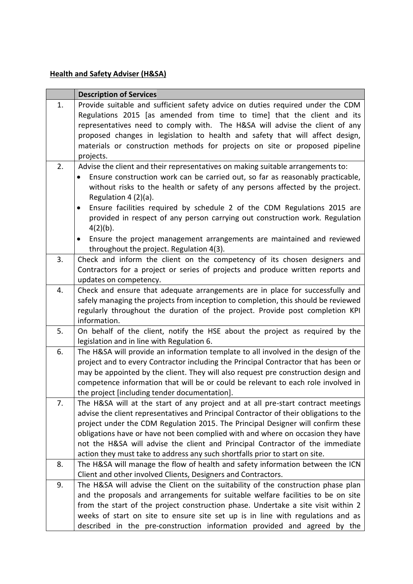## **Health and Safety Adviser (H&SA)**

|    | <b>Description of Services</b>                                                                                                                                                                                                                                                                                                                                                                                                                                                                                                                                                     |
|----|------------------------------------------------------------------------------------------------------------------------------------------------------------------------------------------------------------------------------------------------------------------------------------------------------------------------------------------------------------------------------------------------------------------------------------------------------------------------------------------------------------------------------------------------------------------------------------|
| 1. | Provide suitable and sufficient safety advice on duties required under the CDM<br>Regulations 2015 [as amended from time to time] that the client and its<br>representatives need to comply with. The H&SA will advise the client of any<br>proposed changes in legislation to health and safety that will affect design,<br>materials or construction methods for projects on site or proposed pipeline<br>projects.                                                                                                                                                              |
| 2. | Advise the client and their representatives on making suitable arrangements to:<br>Ensure construction work can be carried out, so far as reasonably practicable,<br>without risks to the health or safety of any persons affected by the project.<br>Regulation $4(2)(a)$ .<br>Ensure facilities required by schedule 2 of the CDM Regulations 2015 are<br>provided in respect of any person carrying out construction work. Regulation<br>$4(2)(b)$ .<br>Ensure the project management arrangements are maintained and reviewed<br>٠<br>throughout the project. Regulation 4(3). |
| 3. | Check and inform the client on the competency of its chosen designers and<br>Contractors for a project or series of projects and produce written reports and<br>updates on competency.                                                                                                                                                                                                                                                                                                                                                                                             |
| 4. | Check and ensure that adequate arrangements are in place for successfully and<br>safely managing the projects from inception to completion, this should be reviewed<br>regularly throughout the duration of the project. Provide post completion KPI<br>information.                                                                                                                                                                                                                                                                                                               |
| 5. | On behalf of the client, notify the HSE about the project as required by the<br>legislation and in line with Regulation 6.                                                                                                                                                                                                                                                                                                                                                                                                                                                         |
| 6. | The H&SA will provide an information template to all involved in the design of the<br>project and to every Contractor including the Principal Contractor that has been or<br>may be appointed by the client. They will also request pre construction design and<br>competence information that will be or could be relevant to each role involved in<br>the project [including tender documentation].                                                                                                                                                                              |
| 7. | The H&SA will at the start of any project and at all pre-start contract meetings<br>advise the client representatives and Principal Contractor of their obligations to the<br>project under the CDM Regulation 2015. The Principal Designer will confirm these<br>obligations have or have not been complied with and where on occasion they have<br>not the H&SA will advise the client and Principal Contractor of the immediate<br>action they must take to address any such shortfalls prior to start on site.                                                                 |
| 8. | The H&SA will manage the flow of health and safety information between the ICN                                                                                                                                                                                                                                                                                                                                                                                                                                                                                                     |
| 9. | Client and other involved Clients, Designers and Contractors.<br>The H&SA will advise the Client on the suitability of the construction phase plan<br>and the proposals and arrangements for suitable welfare facilities to be on site<br>from the start of the project construction phase. Undertake a site visit within 2<br>weeks of start on site to ensure site set up is in line with regulations and as<br>described in the pre-construction information provided and agreed by the                                                                                         |